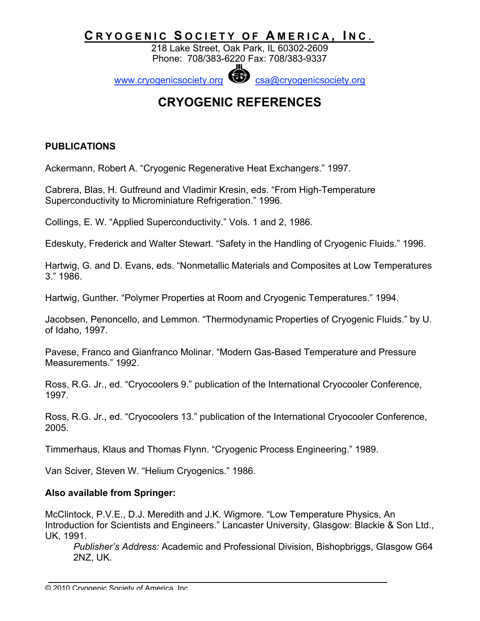## CRYOGENIC SOCIETY OF AMERICA, INC.

218 Lake Street, Oak Park, IL 60302-2609 Phone: 708/383-6220 Fax: 708/383-9337

www.cryogenicsociety.org Constant Construction Constants www.cryogenicsociety.org

# **CRYOGENIC REFERENCES**

#### **PUBLICATIONS**

Ackermann, Robert A. "Cryogenic Regenerative Heat Exchangers." 1997.

Cabrera, Blas, H. Gutfreund and Vladimir Kresin, eds. "From High-Temperature Superconductivity to Microminiature Refrigeration." 1996.

Collings, E. W. "Applied Superconductivity." Vols. 1 and 2, 1986.

Edeskuty, Frederick and Walter Stewart. "Safety in the Handling of Cryogenic Fluids." 1996.

Hartwig, G. and D. Evans, eds. "Nonmetallic Materials and Composites at Low Temperatures 3." 1986.

Hartwig, Gunther. "Polymer Properties at Room and Cryogenic Temperatures." 1994.

Jacobsen, Penoncello, and Lemmon. "Thermodynamic Properties of Cryogenic Fluids." by U. of Idaho, 1997.

Pavese, Franco and Gianfranco Molinar. "Modern Gas-Based Temperature and Pressure Measurements." 1992.

Ross, R.G. Jr., ed. "Cryocoolers 9." publication of the International Cryocooler Conference, 1997.

Ross, R.G. Jr., ed. "Cryocoolers 13." publication of the International Cryocooler Conference, 2005.

Timmerhaus, Klaus and Thomas Flynn. "Cryogenic Process Engineering." 1989.

Van Sciver, Steven W. "Helium Cryogenics." 1986.

#### **Also available from Springer:**

McClintock, P.V.E., D.J. Meredith and J.K. Wigmore. "Low Temperature Physics, An Introduction for Scientists and Engineers." Lancaster University, Glasgow: Blackie & Son Ltd., UK, 1991.

*Publisher's Address:* Academic and Professional Division, Bishopbriggs, Glasgow G64 2NZ, UK.

<sup>© 2010</sup> Cryogenic Society of America, Inc.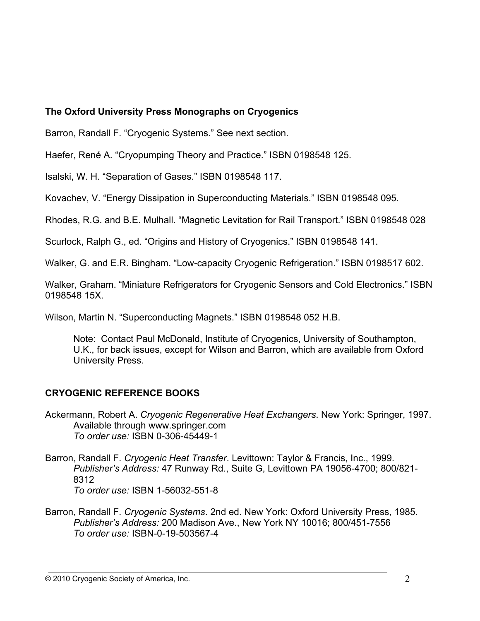#### **The Oxford University Press Monographs on Cryogenics**

Barron, Randall F. "Cryogenic Systems." See next section.

Haefer, René A. "Cryopumping Theory and Practice." ISBN 0198548 125.

Isalski, W. H. "Separation of Gases." ISBN 0198548 117.

Kovachev, V. "Energy Dissipation in Superconducting Materials." ISBN 0198548 095.

Rhodes, R.G. and B.E. Mulhall. "Magnetic Levitation for Rail Transport." ISBN 0198548 028

Scurlock, Ralph G., ed. "Origins and History of Cryogenics." ISBN 0198548 141.

Walker, G. and E.R. Bingham. "Low-capacity Cryogenic Refrigeration." ISBN 0198517 602.

Walker, Graham. "Miniature Refrigerators for Cryogenic Sensors and Cold Electronics." ISBN 0198548 15X.

Wilson, Martin N. "Superconducting Magnets." ISBN 0198548 052 H.B.

Note: Contact Paul McDonald, Institute of Cryogenics, University of Southampton, U.K., for back issues, except for Wilson and Barron, which are available from Oxford University Press.

#### **CRYOGENIC REFERENCE BOOKS**

- Ackermann, Robert A. *Cryogenic Regenerative Heat Exchangers*. New York: Springer, 1997. Available through www.springer.com *To order use:* ISBN 0-306-45449-1
- Barron, Randall F. *Cryogenic Heat Transfer*. Levittown: Taylor & Francis, Inc., 1999. *Publisher's Address:* 47 Runway Rd., Suite G, Levittown PA 19056-4700; 800/821- 8312 *To order use:* ISBN 1-56032-551-8
- Barron, Randall F. *Cryogenic Systems*. 2nd ed. New York: Oxford University Press, 1985. *Publisher's Address:* 200 Madison Ave., New York NY 10016; 800/451-7556 *To order use:* ISBN-0-19-503567-4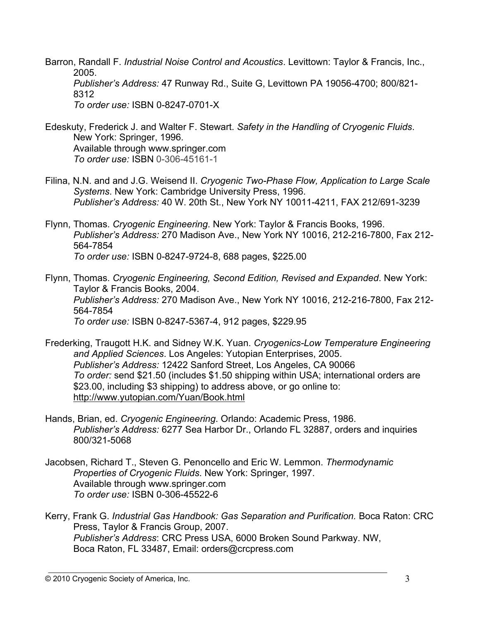Barron, Randall F. *Industrial Noise Control and Acoustics*. Levittown: Taylor & Francis, Inc., 2005. *Publisher's Address:* 47 Runway Rd., Suite G, Levittown PA 19056-4700; 800/821- 8312 *To order use:* ISBN 0-8247-0701-X

Edeskuty, Frederick J. and Walter F. Stewart. *Safety in the Handling of Cryogenic Fluids*. New York: Springer, 1996. Available through www.springer.com *To order use:* ISBN 0-306-45161-1

Filina, N.N. and and J.G. Weisend II. *Cryogenic Two-Phase Flow, Application to Large Scale Systems*. New York: Cambridge University Press, 1996. *Publisher's Address:* 40 W. 20th St., New York NY 10011-4211, FAX 212/691-3239

Flynn, Thomas. *Cryogenic Engineering*. New York: Taylor & Francis Books, 1996. *Publisher's Address:* 270 Madison Ave., New York NY 10016, 212-216-7800, Fax 212- 564-7854 *To order use:* ISBN 0-8247-9724-8, 688 pages, \$225.00

Flynn, Thomas. *Cryogenic Engineering, Second Edition, Revised and Expanded*. New York: Taylor & Francis Books, 2004. *Publisher's Address:* 270 Madison Ave., New York NY 10016, 212-216-7800, Fax 212- 564-7854 *To order use:* ISBN 0-8247-5367-4, 912 pages, \$229.95

- Frederking, Traugott H.K. and Sidney W.K. Yuan. *Cryogenics-Low Temperature Engineering and Applied Sciences*. Los Angeles: Yutopian Enterprises, 2005. *Publisher's Address:* 12422 Sanford Street, Los Angeles, CA 90066 *To order:* send \$21.50 (includes \$1.50 shipping within USA; international orders are \$23.00, including \$3 shipping) to address above, or go online to: http://www.yutopian.com/Yuan/Book.html
- Hands, Brian, ed. *Cryogenic Engineering*. Orlando: Academic Press, 1986. *Publisher's Address:* 6277 Sea Harbor Dr., Orlando FL 32887, orders and inquiries 800/321-5068
- Jacobsen, Richard T., Steven G. Penoncello and Eric W. Lemmon. *Thermodynamic Properties of Cryogenic Fluids*. New York: Springer, 1997. Available through www.springer.com *To order use:* ISBN 0-306-45522-6
- Kerry, Frank G. *Industrial Gas Handbook: Gas Separation and Purification.* Boca Raton: CRC Press, Taylor & Francis Group, 2007. *Publisher's Address*: CRC Press USA, 6000 Broken Sound Parkway. NW, Boca Raton, FL 33487, Email: orders@crcpress.com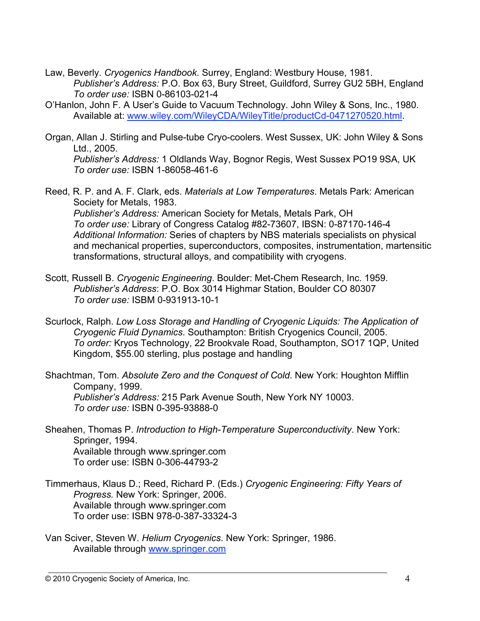- Law, Beverly. *Cryogenics Handbook*. Surrey, England: Westbury House, 1981. *Publisher's Address:* P.O. Box 63, Bury Street, Guildford, Surrey GU2 5BH, England *To order use:* ISBN 0-86103-021-4
- O'Hanlon, John F. A User's Guide to Vacuum Technology. John Wiley & Sons, Inc., 1980. Available at: www.wiley.com/WileyCDA/WileyTitle/productCd-0471270520.html.
- Organ, Allan J. Stirling and Pulse-tube Cryo-coolers. West Sussex, UK: John Wiley & Sons Ltd., 2005. *Publisher's Address:* 1 Oldlands Way, Bognor Regis, West Sussex PO19 9SA, UK *To order use:* ISBN 1-86058-461-6
- Reed, R. P. and A. F. Clark, eds. *Materials at Low Temperatures*. Metals Park: American Society for Metals, 1983. *Publisher's Address:* American Society for Metals, Metals Park, OH *To order use:* Library of Congress Catalog #82-73607, IBSN: 0-87170-146-4 *Additional Information:* Series of chapters by NBS materials specialists on physical and mechanical properties, superconductors, composites, instrumentation, martensitic transformations, structural alloys, and compatibility with cryogens.
- Scott, Russell B. *Cryogenic Engineering*. Boulder: Met-Chem Research, Inc. 1959. *Publisher's Address*: P.O. Box 3014 Highmar Station, Boulder CO 80307 *To order use:* ISBM 0-931913-10-1
- Scurlock, Ralph. *Low Loss Storage and Handling of Cryogenic Liquids: The Application of Cryogenic Fluid Dynamics*. Southampton: British Cryogenics Council, 2005. *To order:* Kryos Technology, 22 Brookvale Road, Southampton, SO17 1QP, United Kingdom, \$55.00 sterling, plus postage and handling

Shachtman, Tom. *Absolute Zero and the Conquest of Cold*. New York: Houghton Mifflin Company, 1999. *Publisher's Address:* 215 Park Avenue South, New York NY 10003. *To order use:* ISBN 0-395-93888-0

- Sheahen, Thomas P. *Introduction to High-Temperature Superconductivity*. New York: Springer, 1994. Available through www.springer.com To order use: ISBN 0-306-44793-2
- Timmerhaus, Klaus D.; Reed, Richard P. (Eds.) *Cryogenic Engineering: Fifty Years of Progress.* New York: Springer, 2006. Available through www.springer.com To order use: ISBN 978-0-387-33324-3
- Van Sciver, Steven W. *Helium Cryogenics*. New York: Springer, 1986. Available through www.springer.com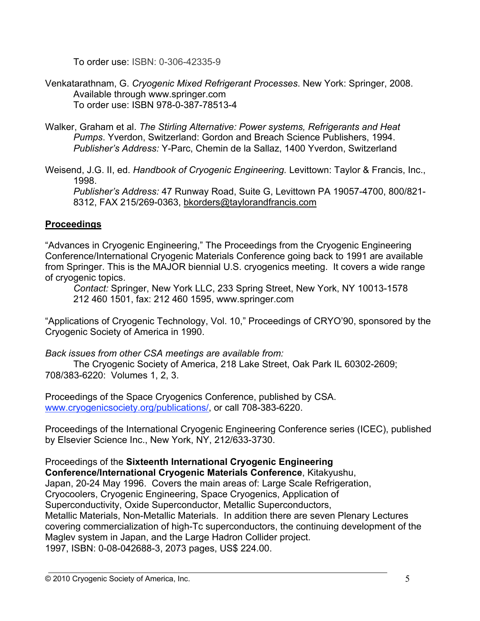To order use: ISBN: 0-306-42335-9

Venkatarathnam, G. *Cryogenic Mixed Refrigerant Processes*. New York: Springer, 2008. Available through www.springer.com To order use: ISBN 978-0-387-78513-4

Walker, Graham et al. *The Stirling Alternative: Power systems, Refrigerants and Heat Pumps*. Yverdon, Switzerland: Gordon and Breach Science Publishers, 1994. *Publisher's Address:* Y-Parc, Chemin de la Sallaz, 1400 Yverdon, Switzerland

Weisend, J.G. II, ed. *Handbook of Cryogenic Engineering.* Levittown: Taylor & Francis, Inc., 1998.

*Publisher's Address:* 47 Runway Road, Suite G, Levittown PA 19057-4700, 800/821- 8312, FAX 215/269-0363, bkorders@taylorandfrancis.com

#### **Proceedings**

"Advances in Cryogenic Engineering," The Proceedings from the Cryogenic Engineering Conference/International Cryogenic Materials Conference going back to 1991 are available from Springer. This is the MAJOR biennial U.S. cryogenics meeting. It covers a wide range of cryogenic topics.

*Contact:* Springer, New York LLC, 233 Spring Street, New York, NY 10013-1578 212 460 1501, fax: 212 460 1595, www.springer.com

"Applications of Cryogenic Technology, Vol. 10," Proceedings of CRYO'90, sponsored by the Cryogenic Society of America in 1990.

*Back issues from other CSA meetings are available from:*

The Cryogenic Society of America, 218 Lake Street, Oak Park IL 60302-2609; 708/383-6220: Volumes 1, 2, 3.

Proceedings of the Space Cryogenics Conference, published by CSA. www.cryogenicsociety.org/publications/, or call 708-383-6220.

Proceedings of the International Cryogenic Engineering Conference series (ICEC), published by Elsevier Science Inc., New York, NY, 212/633-3730.

Proceedings of the **Sixteenth International Cryogenic Engineering Conference/International Cryogenic Materials Conference**, Kitakyushu, Japan, 20-24 May 1996. Covers the main areas of: Large Scale Refrigeration, Cryocoolers, Cryogenic Engineering, Space Cryogenics, Application of Superconductivity, Oxide Superconductor, Metallic Superconductors, Metallic Materials, Non-Metallic Materials. In addition there are seven Plenary Lectures covering commercialization of high-Tc superconductors, the continuing development of the Maglev system in Japan, and the Large Hadron Collider project. 1997, ISBN: 0-08-042688-3, 2073 pages, US\$ 224.00.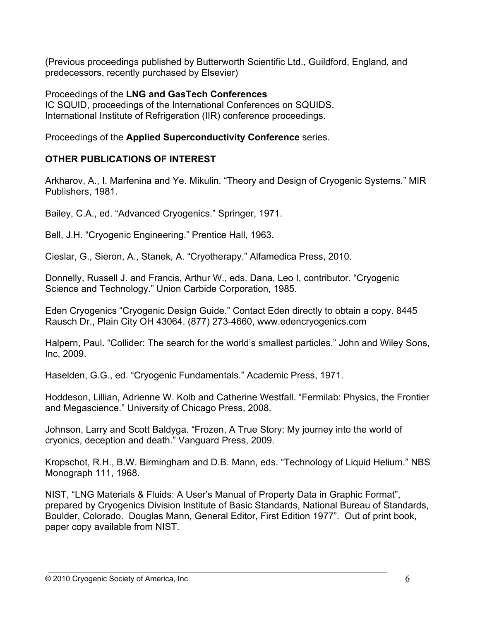(Previous proceedings published by Butterworth Scientific Ltd., Guildford, England, and predecessors, recently purchased by Elsevier)

Proceedings of the **LNG and GasTech Conferences** IC SQUID, proceedings of the International Conferences on SQUIDS. International Institute of Refrigeration (IIR) conference proceedings.

Proceedings of the **Applied Superconductivity Conference** series.

## **OTHER PUBLICATIONS OF INTEREST**

Arkharov, A., I. Marfenina and Ye. Mikulin. "Theory and Design of Cryogenic Systems." MIR Publishers, 1981.

Bailey, C.A., ed. "Advanced Cryogenics." Springer, 1971.

Bell, J.H. "Cryogenic Engineering." Prentice Hall, 1963.

Cieslar, G., Sieron, A., Stanek, A. "Cryotherapy." Alfamedica Press, 2010.

Donnelly, Russell J. and Francis, Arthur W., eds. Dana, Leo I, contributor. "Cryogenic Science and Technology." Union Carbide Corporation, 1985.

Eden Cryogenics "Cryogenic Design Guide." Contact Eden directly to obtain a copy. 8445 Rausch Dr., Plain City OH 43064. (877) 273-4660, www.edencryogenics.com

Halpern, Paul. "Collider: The search for the world's smallest particles." John and Wiley Sons, Inc, 2009.

Haselden, G.G., ed. "Cryogenic Fundamentals." Academic Press, 1971.

Hoddeson, Lillian, Adrienne W. Kolb and Catherine Westfall. "Fermilab: Physics, the Frontier and Megascience." University of Chicago Press, 2008.

Johnson, Larry and Scott Baldyga. "Frozen, A True Story: My journey into the world of cryonics, deception and death." Vanguard Press, 2009.

Kropschot, R.H., B.W. Birmingham and D.B. Mann, eds. "Technology of Liquid Helium." NBS Monograph 111, 1968.

NIST, "LNG Materials & Fluids: A User's Manual of Property Data in Graphic Format", prepared by Cryogenics Division Institute of Basic Standards, National Bureau of Standards, Boulder, Colorado. Douglas Mann, General Editor, First Edition 1977". Out of print book, paper copy available from NIST.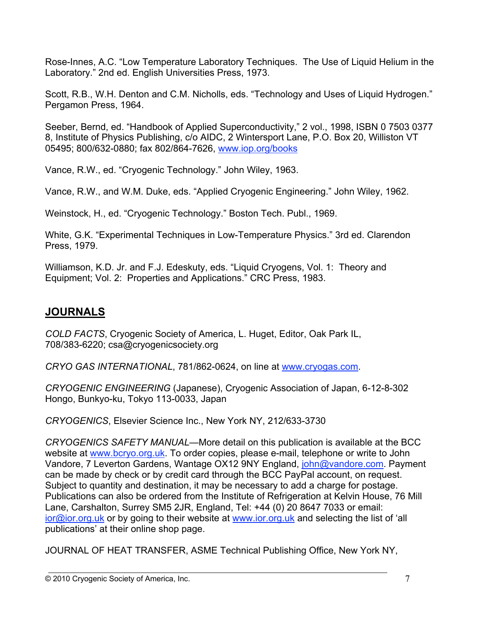Rose-Innes, A.C. "Low Temperature Laboratory Techniques. The Use of Liquid Helium in the Laboratory." 2nd ed. English Universities Press, 1973.

Scott, R.B., W.H. Denton and C.M. Nicholls, eds. "Technology and Uses of Liquid Hydrogen." Pergamon Press, 1964.

Seeber, Bernd, ed. "Handbook of Applied Superconductivity," 2 vol., 1998, ISBN 0 7503 0377 8, Institute of Physics Publishing, c/o AIDC, 2 Wintersport Lane, P.O. Box 20, Williston VT 05495; 800/632-0880; fax 802/864-7626, www.iop.org/books

Vance, R.W., ed. "Cryogenic Technology." John Wiley, 1963.

Vance, R.W., and W.M. Duke, eds. "Applied Cryogenic Engineering." John Wiley, 1962.

Weinstock, H., ed. "Cryogenic Technology." Boston Tech. Publ., 1969.

White, G.K. "Experimental Techniques in Low-Temperature Physics." 3rd ed. Clarendon Press, 1979.

Williamson, K.D. Jr. and F.J. Edeskuty, eds. "Liquid Cryogens, Vol. 1: Theory and Equipment; Vol. 2: Properties and Applications." CRC Press, 1983.

## **JOURNALS**

*COLD FACTS*, Cryogenic Society of America, L. Huget, Editor, Oak Park IL, 708/383-6220; csa@cryogenicsociety.org

*CRYO GAS INTERNATIONAL*, 781/862-0624, on line at www.cryogas.com.

*CRYOGENIC ENGINEERING* (Japanese), Cryogenic Association of Japan, 6-12-8-302 Hongo, Bunkyo-ku, Tokyo 113-0033, Japan

*CRYOGENICS*, Elsevier Science Inc., New York NY, 212/633-3730

*CRYOGENICS SAFETY MANUAL*—More detail on this publication is available at the BCC website at www.bcryo.org.uk. To order copies, please e-mail, telephone or write to John Vandore, 7 Leverton Gardens, Wantage OX12 9NY England, john@vandore.com. Payment can be made by check or by credit card through the BCC PayPal account, on request. Subject to quantity and destination, it may be necessary to add a charge for postage. Publications can also be ordered from the Institute of Refrigeration at Kelvin House, 76 Mill Lane, Carshalton, Surrey SM5 2JR, England, Tel: +44 (0) 20 8647 7033 or email: ior@ior.org.uk or by going to their website at www.ior.org.uk and selecting the list of 'all publications' at their online shop page.

JOURNAL OF HEAT TRANSFER, ASME Technical Publishing Office, New York NY,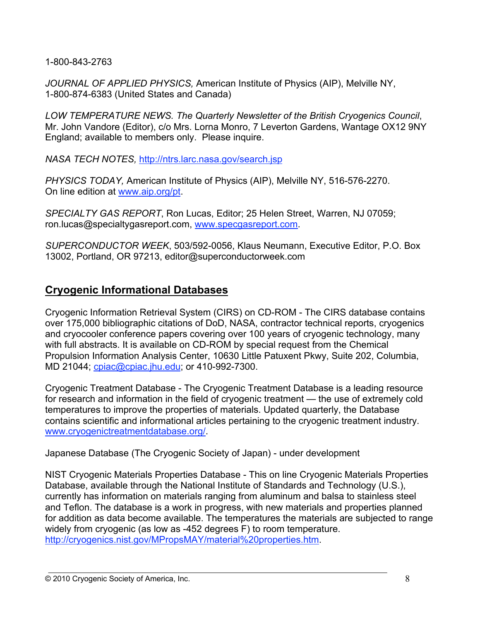1-800-843-2763

*JOURNAL OF APPLIED PHYSICS,* American Institute of Physics (AIP), Melville NY, 1-800-874-6383 (United States and Canada)

*LOW TEMPERATURE NEWS. The Quarterly Newsletter of the British Cryogenics Council*, Mr. John Vandore (Editor), c/o Mrs. Lorna Monro, 7 Leverton Gardens, Wantage OX12 9NY England; available to members only. Please inquire.

*NASA TECH NOTES,* http://ntrs.larc.nasa.gov/search.jsp

*PHYSICS TODAY,* American Institute of Physics (AIP), Melville NY, 516-576-2270. On line edition at www.aip.org/pt.

*SPECIALTY GAS REPORT*, Ron Lucas, Editor; 25 Helen Street, Warren, NJ 07059; ron.lucas@specialtygasreport.com, www.specgasreport.com.

*SUPERCONDUCTOR WEEK*, 503/592-0056, Klaus Neumann, Executive Editor, P.O. Box 13002, Portland, OR 97213, editor@superconductorweek.com

## **Cryogenic Informational Databases**

Cryogenic Information Retrieval System (CIRS) on CD-ROM - The CIRS database contains over 175,000 bibliographic citations of DoD, NASA, contractor technical reports, cryogenics and cryocooler conference papers covering over 100 years of cryogenic technology, many with full abstracts. It is available on CD-ROM by special request from the Chemical Propulsion Information Analysis Center, 10630 Little Patuxent Pkwy, Suite 202, Columbia, MD 21044; cpiac@cpiac.jhu.edu; or 410-992-7300.

Cryogenic Treatment Database - The Cryogenic Treatment Database is a leading resource for research and information in the field of cryogenic treatment — the use of extremely cold temperatures to improve the properties of materials. Updated quarterly, the Database contains scientific and informational articles pertaining to the cryogenic treatment industry. www.cryogenictreatmentdatabase.org/.

Japanese Database (The Cryogenic Society of Japan) - under development

NIST Cryogenic Materials Properties Database - This on line Cryogenic Materials Properties Database, available through the National Institute of Standards and Technology (U.S.), currently has information on materials ranging from aluminum and balsa to stainless steel and Teflon. The database is a work in progress, with new materials and properties planned for addition as data become available. The temperatures the materials are subjected to range widely from cryogenic (as low as -452 degrees F) to room temperature. http://cryogenics.nist.gov/MPropsMAY/material%20properties.htm.